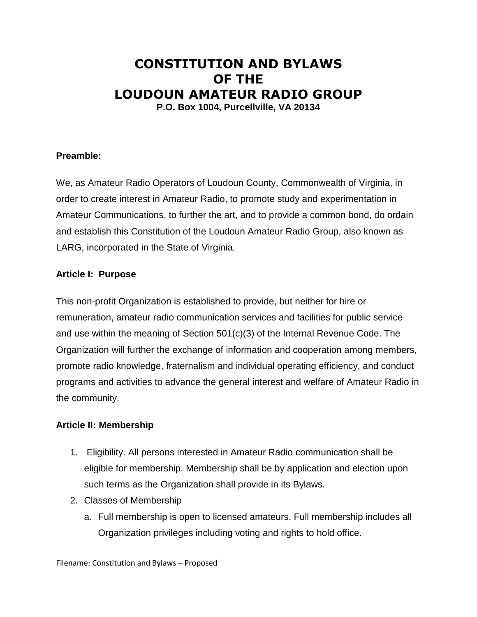# **CONSTITUTION AND BYLAWS OF THE LOUDOUN AMATEUR RADIO GROUP P.O. Box 1004, Purcellville, VA 20134**

## **Preamble:**

We, as Amateur Radio Operators of Loudoun County, Commonwealth of Virginia, in order to create interest in Amateur Radio, to promote study and experimentation in Amateur Communications, to further the art, and to provide a common bond, do ordain and establish this Constitution of the Loudoun Amateur Radio Group, also known as LARG, incorporated in the State of Virginia.

#### **Article I: Purpose**

This non-profit Organization is established to provide, but neither for hire or remuneration, amateur radio communication services and facilities for public service and use within the meaning of Section 501(c)(3) of the Internal Revenue Code. The Organization will further the exchange of information and cooperation among members, promote radio knowledge, fraternalism and individual operating efficiency, and conduct programs and activities to advance the general interest and welfare of Amateur Radio in the community.

#### **Article II: Membership**

- 1. Eligibility. All persons interested in Amateur Radio communication shall be eligible for membership. Membership shall be by application and election upon such terms as the Organization shall provide in its Bylaws.
- 2. Classes of Membership
	- a. Full membership is open to licensed amateurs. Full membership includes all Organization privileges including voting and rights to hold office.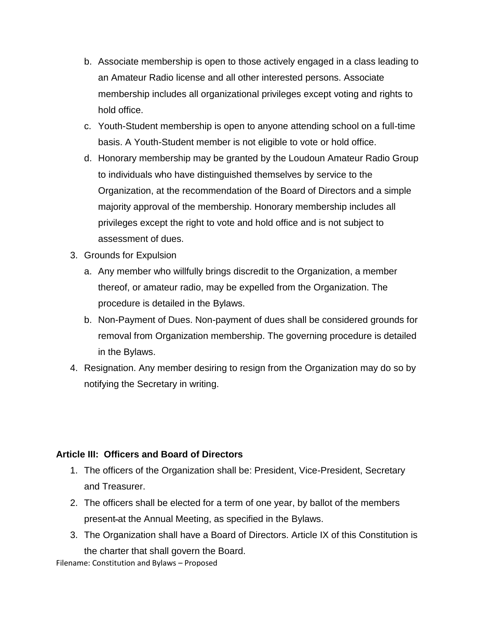- b. Associate membership is open to those actively engaged in a class leading to an Amateur Radio license and all other interested persons. Associate membership includes all organizational privileges except voting and rights to hold office.
- c. Youth-Student membership is open to anyone attending school on a full-time basis. A Youth-Student member is not eligible to vote or hold office.
- d. Honorary membership may be granted by the Loudoun Amateur Radio Group to individuals who have distinguished themselves by service to the Organization, at the recommendation of the Board of Directors and a simple majority approval of the membership. Honorary membership includes all privileges except the right to vote and hold office and is not subject to assessment of dues.
- 3. Grounds for Expulsion
	- a. Any member who willfully brings discredit to the Organization, a member thereof, or amateur radio, may be expelled from the Organization. The procedure is detailed in the Bylaws.
	- b. Non-Payment of Dues. Non-payment of dues shall be considered grounds for removal from Organization membership. The governing procedure is detailed in the Bylaws.
- 4. Resignation. Any member desiring to resign from the Organization may do so by notifying the Secretary in writing.

## **Article III: Officers and Board of Directors**

- 1. The officers of the Organization shall be: President, Vice-President, Secretary and Treasurer.
- 2. The officers shall be elected for a term of one year, by ballot of the members present at the Annual Meeting, as specified in the Bylaws.
- 3. The Organization shall have a Board of Directors. Article IX of this Constitution is

Filename: Constitution and Bylaws – Proposed the charter that shall govern the Board.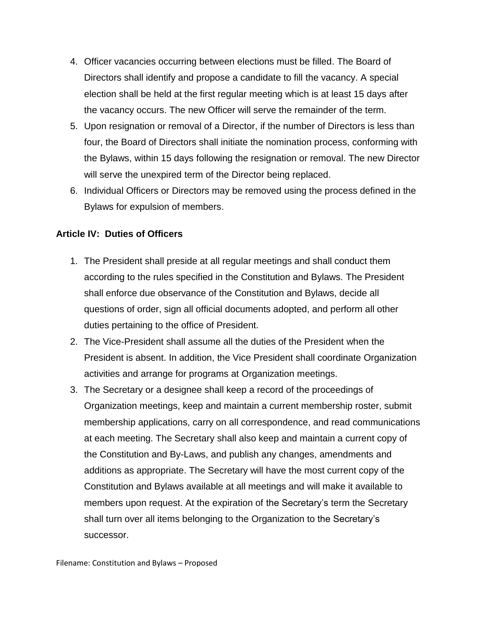- 4. Officer vacancies occurring between elections must be filled. The Board of Directors shall identify and propose a candidate to fill the vacancy. A special election shall be held at the first regular meeting which is at least 15 days after the vacancy occurs. The new Officer will serve the remainder of the term.
- 5. Upon resignation or removal of a Director, if the number of Directors is less than four, the Board of Directors shall initiate the nomination process, conforming with the Bylaws, within 15 days following the resignation or removal. The new Director will serve the unexpired term of the Director being replaced.
- 6. Individual Officers or Directors may be removed using the process defined in the Bylaws for expulsion of members.

## **Article IV: Duties of Officers**

- 1. The President shall preside at all regular meetings and shall conduct them according to the rules specified in the Constitution and Bylaws. The President shall enforce due observance of the Constitution and Bylaws, decide all questions of order, sign all official documents adopted, and perform all other duties pertaining to the office of President.
- 2. The Vice-President shall assume all the duties of the President when the President is absent. In addition, the Vice President shall coordinate Organization activities and arrange for programs at Organization meetings.
- 3. The Secretary or a designee shall keep a record of the proceedings of Organization meetings, keep and maintain a current membership roster, submit membership applications, carry on all correspondence, and read communications at each meeting. The Secretary shall also keep and maintain a current copy of the Constitution and By-Laws, and publish any changes, amendments and additions as appropriate. The Secretary will have the most current copy of the Constitution and Bylaws available at all meetings and will make it available to members upon request. At the expiration of the Secretary's term the Secretary shall turn over all items belonging to the Organization to the Secretary's successor.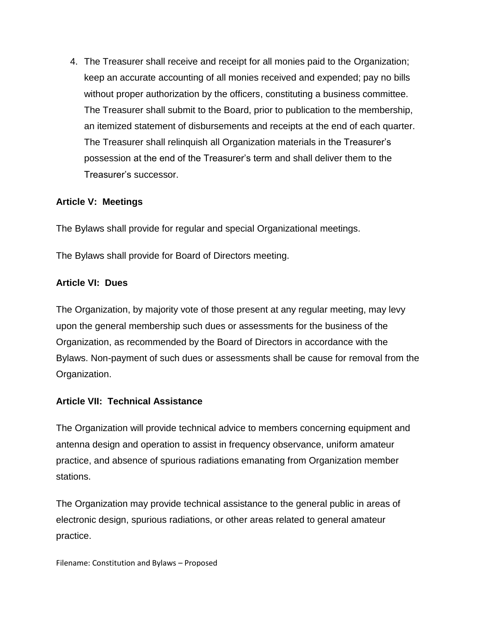4. The Treasurer shall receive and receipt for all monies paid to the Organization; keep an accurate accounting of all monies received and expended; pay no bills without proper authorization by the officers, constituting a business committee. The Treasurer shall submit to the Board, prior to publication to the membership, an itemized statement of disbursements and receipts at the end of each quarter. The Treasurer shall relinquish all Organization materials in the Treasurer's possession at the end of the Treasurer's term and shall deliver them to the Treasurer's successor.

## **Article V: Meetings**

The Bylaws shall provide for regular and special Organizational meetings.

The Bylaws shall provide for Board of Directors meeting.

#### **Article VI: Dues**

The Organization, by majority vote of those present at any regular meeting, may levy upon the general membership such dues or assessments for the business of the Organization, as recommended by the Board of Directors in accordance with the Bylaws. Non-payment of such dues or assessments shall be cause for removal from the Organization.

#### **Article VII: Technical Assistance**

The Organization will provide technical advice to members concerning equipment and antenna design and operation to assist in frequency observance, uniform amateur practice, and absence of spurious radiations emanating from Organization member stations.

The Organization may provide technical assistance to the general public in areas of electronic design, spurious radiations, or other areas related to general amateur practice.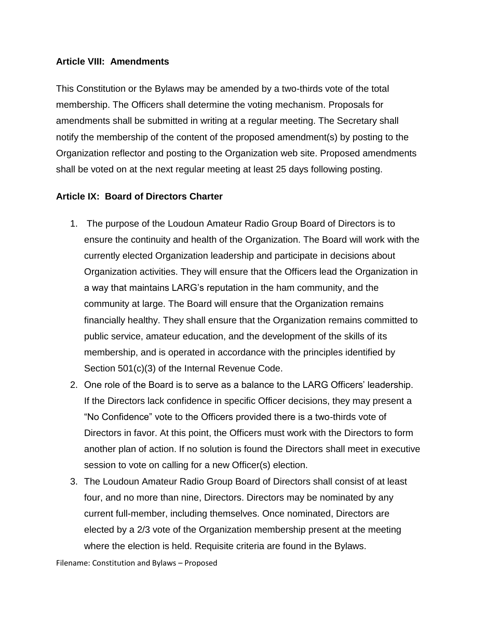#### **Article VIII: Amendments**

This Constitution or the Bylaws may be amended by a two-thirds vote of the total membership. The Officers shall determine the voting mechanism. Proposals for amendments shall be submitted in writing at a regular meeting. The Secretary shall notify the membership of the content of the proposed amendment(s) by posting to the Organization reflector and posting to the Organization web site. Proposed amendments shall be voted on at the next regular meeting at least 25 days following posting.

## **Article IX: Board of Directors Charter**

- 1. The purpose of the Loudoun Amateur Radio Group Board of Directors is to ensure the continuity and health of the Organization. The Board will work with the currently elected Organization leadership and participate in decisions about Organization activities. They will ensure that the Officers lead the Organization in a way that maintains LARG's reputation in the ham community, and the community at large. The Board will ensure that the Organization remains financially healthy. They shall ensure that the Organization remains committed to public service, amateur education, and the development of the skills of its membership, and is operated in accordance with the principles identified by Section 501(c)(3) of the Internal Revenue Code.
- 2. One role of the Board is to serve as a balance to the LARG Officers' leadership. If the Directors lack confidence in specific Officer decisions, they may present a "No Confidence" vote to the Officers provided there is a two-thirds vote of Directors in favor. At this point, the Officers must work with the Directors to form another plan of action. If no solution is found the Directors shall meet in executive session to vote on calling for a new Officer(s) election.
- 3. The Loudoun Amateur Radio Group Board of Directors shall consist of at least four, and no more than nine, Directors. Directors may be nominated by any current full-member, including themselves. Once nominated, Directors are elected by a 2/3 vote of the Organization membership present at the meeting where the election is held. Requisite criteria are found in the Bylaws.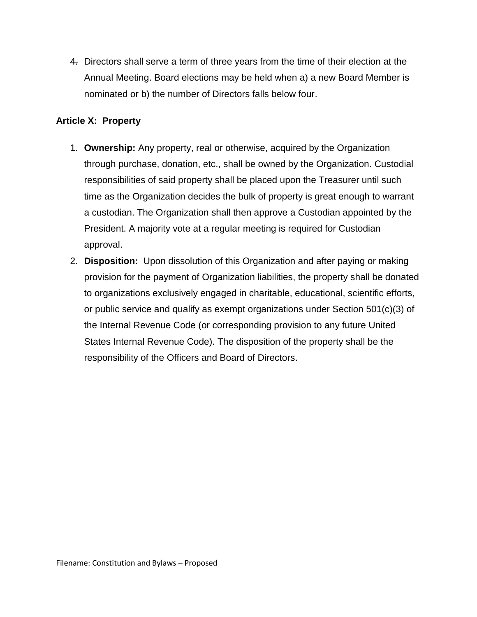4. Directors shall serve a term of three years from the time of their election at the Annual Meeting. Board elections may be held when a) a new Board Member is nominated or b) the number of Directors falls below four.

## **Article X: Property**

- 1. **Ownership:** Any property, real or otherwise, acquired by the Organization through purchase, donation, etc., shall be owned by the Organization. Custodial responsibilities of said property shall be placed upon the Treasurer until such time as the Organization decides the bulk of property is great enough to warrant a custodian. The Organization shall then approve a Custodian appointed by the President. A majority vote at a regular meeting is required for Custodian approval.
- 2. **Disposition:** Upon dissolution of this Organization and after paying or making provision for the payment of Organization liabilities, the property shall be donated to organizations exclusively engaged in charitable, educational, scientific efforts, or public service and qualify as exempt organizations under Section 501(c)(3) of the Internal Revenue Code (or corresponding provision to any future United States Internal Revenue Code). The disposition of the property shall be the responsibility of the Officers and Board of Directors.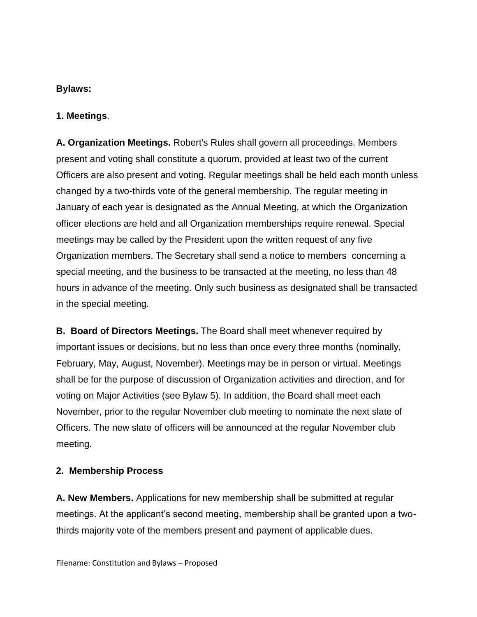#### **Bylaws:**

#### **1. Meetings**.

**A. Organization Meetings.** Robert's Rules shall govern all proceedings. Members present and voting shall constitute a quorum, provided at least two of the current Officers are also present and voting. Regular meetings shall be held each month unless changed by a two-thirds vote of the general membership. The regular meeting in January of each year is designated as the Annual Meeting, at which the Organization officer elections are held and all Organization memberships require renewal. Special meetings may be called by the President upon the written request of any five Organization members. The Secretary shall send a notice to members concerning a special meeting, and the business to be transacted at the meeting, no less than 48 hours in advance of the meeting. Only such business as designated shall be transacted in the special meeting.

**B. Board of Directors Meetings.** The Board shall meet whenever required by important issues or decisions, but no less than once every three months (nominally, February, May, August, November). Meetings may be in person or virtual. Meetings shall be for the purpose of discussion of Organization activities and direction, and for voting on Major Activities (see Bylaw 5). In addition, the Board shall meet each November, prior to the regular November club meeting to nominate the next slate of Officers. The new slate of officers will be announced at the regular November club meeting.

#### **2. Membership Process**

**A. New Members.** Applications for new membership shall be submitted at regular meetings. At the applicant's second meeting, membership shall be granted upon a twothirds majority vote of the members present and payment of applicable dues.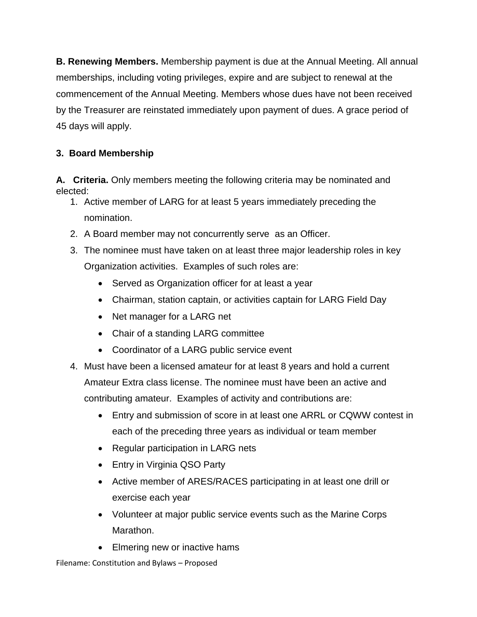**B. Renewing Members.** Membership payment is due at the Annual Meeting. All annual memberships, including voting privileges, expire and are subject to renewal at the commencement of the Annual Meeting. Members whose dues have not been received by the Treasurer are reinstated immediately upon payment of dues. A grace period of 45 days will apply.

## **3. Board Membership**

**A. Criteria.** Only members meeting the following criteria may be nominated and elected:

- 1. Active member of LARG for at least 5 years immediately preceding the nomination.
- 2. A Board member may not concurrently serve as an Officer.
- 3. The nominee must have taken on at least three major leadership roles in key Organization activities. Examples of such roles are:
	- Served as Organization officer for at least a year
	- Chairman, station captain, or activities captain for LARG Field Day
	- Net manager for a LARG net
	- Chair of a standing LARG committee
	- Coordinator of a LARG public service event
- 4. Must have been a licensed amateur for at least 8 years and hold a current Amateur Extra class license. The nominee must have been an active and contributing amateur. Examples of activity and contributions are:
	- Entry and submission of score in at least one ARRL or CQWW contest in each of the preceding three years as individual or team member
	- Regular participation in LARG nets
	- Entry in Virginia QSO Party
	- Active member of ARES/RACES participating in at least one drill or exercise each year
	- Volunteer at major public service events such as the Marine Corps Marathon.
	- Elmering new or inactive hams

Filename: Constitution and Bylaws – Proposed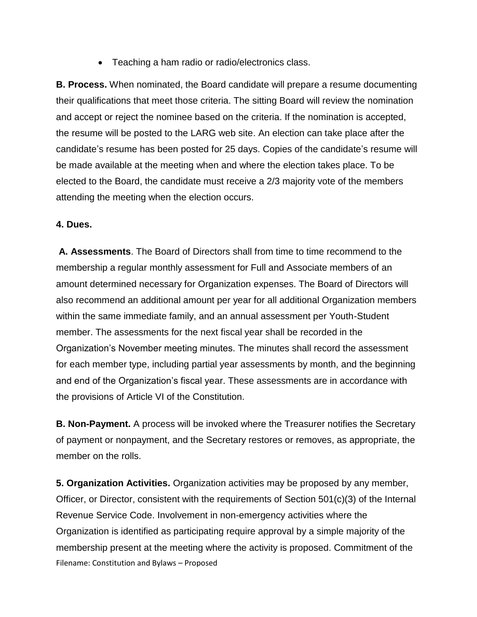• Teaching a ham radio or radio/electronics class.

**B. Process.** When nominated, the Board candidate will prepare a resume documenting their qualifications that meet those criteria. The sitting Board will review the nomination and accept or reject the nominee based on the criteria. If the nomination is accepted, the resume will be posted to the LARG web site. An election can take place after the candidate's resume has been posted for 25 days. Copies of the candidate's resume will be made available at the meeting when and where the election takes place. To be elected to the Board, the candidate must receive a 2/3 majority vote of the members attending the meeting when the election occurs.

#### **4. Dues.**

**A. Assessments**. The Board of Directors shall from time to time recommend to the membership a regular monthly assessment for Full and Associate members of an amount determined necessary for Organization expenses. The Board of Directors will also recommend an additional amount per year for all additional Organization members within the same immediate family, and an annual assessment per Youth-Student member. The assessments for the next fiscal year shall be recorded in the Organization's November meeting minutes. The minutes shall record the assessment for each member type, including partial year assessments by month, and the beginning and end of the Organization's fiscal year. These assessments are in accordance with the provisions of Article VI of the Constitution.

**B. Non-Payment.** A process will be invoked where the Treasurer notifies the Secretary of payment or nonpayment, and the Secretary restores or removes, as appropriate, the member on the rolls.

Filename: Constitution and Bylaws – Proposed **5. Organization Activities.** Organization activities may be proposed by any member, Officer, or Director, consistent with the requirements of Section 501(c)(3) of the Internal Revenue Service Code. Involvement in non-emergency activities where the Organization is identified as participating require approval by a simple majority of the membership present at the meeting where the activity is proposed. Commitment of the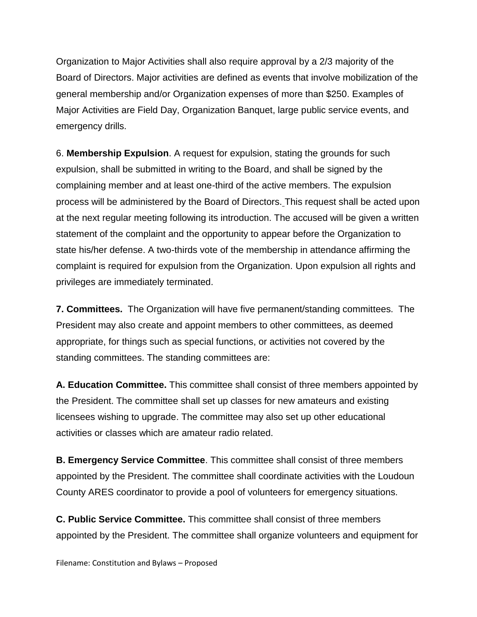Organization to Major Activities shall also require approval by a 2/3 majority of the Board of Directors. Major activities are defined as events that involve mobilization of the general membership and/or Organization expenses of more than \$250. Examples of Major Activities are Field Day, Organization Banquet, large public service events, and emergency drills.

6. **Membership Expulsion**. A request for expulsion, stating the grounds for such expulsion, shall be submitted in writing to the Board, and shall be signed by the complaining member and at least one-third of the active members. The expulsion process will be administered by the Board of Directors. This request shall be acted upon at the next regular meeting following its introduction. The accused will be given a written statement of the complaint and the opportunity to appear before the Organization to state his/her defense. A two-thirds vote of the membership in attendance affirming the complaint is required for expulsion from the Organization. Upon expulsion all rights and privileges are immediately terminated.

**7. Committees.** The Organization will have five permanent/standing committees. The President may also create and appoint members to other committees, as deemed appropriate, for things such as special functions, or activities not covered by the standing committees. The standing committees are:

**A. Education Committee.** This committee shall consist of three members appointed by the President. The committee shall set up classes for new amateurs and existing licensees wishing to upgrade. The committee may also set up other educational activities or classes which are amateur radio related.

**B. Emergency Service Committee**. This committee shall consist of three members appointed by the President. The committee shall coordinate activities with the Loudoun County ARES coordinator to provide a pool of volunteers for emergency situations.

**C. Public Service Committee.** This committee shall consist of three members appointed by the President. The committee shall organize volunteers and equipment for